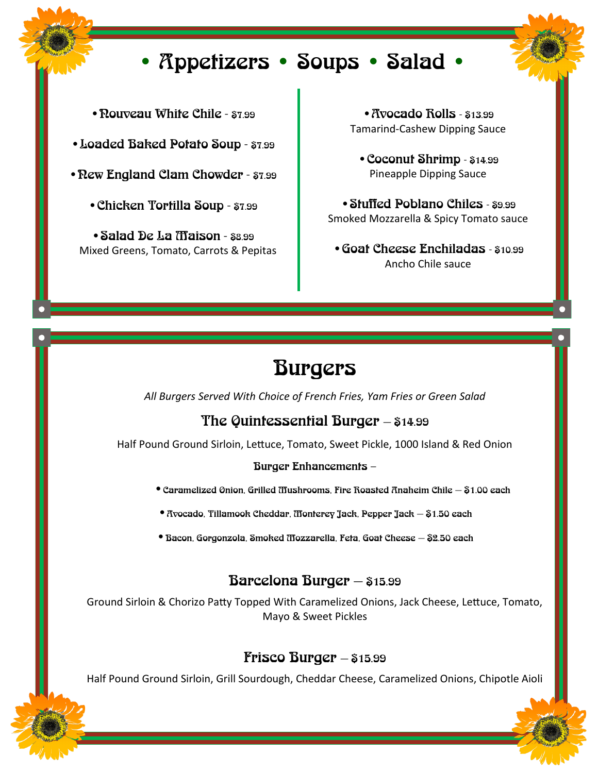# • Appetizers • Soups • Salad •

- Rouveau White Chile \$7.99
- •Loaded Baked Potato Soup \$7.99
- Rew England Clam Chowder \$7.99
	- •Chicken Tortilla Soup \$7.99
	- •Salad De La Maison \$8.99 Mixed Greens, Tomato, Carrots & Pepitas

• Avocado Rolls - \$13.99 Tamarind-Cashew Dipping Sauce

•Coconut Shrimp - \$14.99 Pineapple Dipping Sauce

•Stuffed Poblano Chiles - \$9.99 Smoked Mozzarella & Spicy Tomato sauce

•Goat Cheese Enchiladas - \$10.99 Ancho Chile sauce

# Burgers

*All Burgers Served With Choice of French Fries, Yam Fries or Green Salad* 

## The Quintessential Burger — \$14.99

Half Pound Ground Sirloin, Lettuce, Tomato, Sweet Pickle, 1000 Island & Red Onion

#### Burger Enhancements –

- $\bullet$  Caramelized Onion, Grilled Mushrooms, Fire Roasted Anaheim Chile  $-$  81.00 each
- •Avocado, Tillamook Cheddar, Monterey Jack, Pepper Jack \$1.50 each
- •Bacon, Gorgonzola, Smoked Mozzarella, Feta, Goat Cheese \$2.50 each

## Barcelona Burger — \$15.99

Ground Sirloin & Chorizo Patty Topped With Caramelized Onions, Jack Cheese, Lettuce, Tomato, Mayo & Sweet Pickles

## **Frisco Burger**  $\$15.99$

Half Pound Ground Sirloin, Grill Sourdough, Cheddar Cheese, Caramelized Onions, Chipotle Aioli